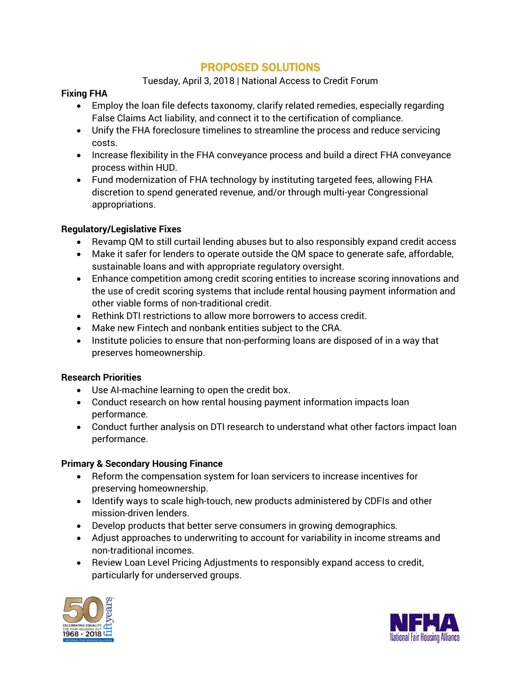# PROPOSED SOLUTIONS

# Tuesday, April 3, 2018 | National Access to Credit Forum

# **Fixing FHA**

- Employ the loan file defects taxonomy, clarify related remedies, especially regarding False Claims Act liability, and connect it to the certification of compliance.
- Unify the FHA foreclosure timelines to streamline the process and reduce servicing costs.
- Increase flexibility in the FHA conveyance process and build a direct FHA conveyance process within HUD.
- Fund modernization of FHA technology by instituting targeted fees, allowing FHA discretion to spend generated revenue, and/or through multi-year Congressional appropriations.

# **Regulatory/Legislative Fixes**

- Revamp QM to still curtail lending abuses but to also responsibly expand credit access
- Make it safer for lenders to operate outside the QM space to generate safe, affordable, sustainable loans and with appropriate regulatory oversight.
- Enhance competition among credit scoring entities to increase scoring innovations and the use of credit scoring systems that include rental housing payment information and other viable forms of non-traditional credit.
- Rethink DTI restrictions to allow more borrowers to access credit.
- Make new Fintech and nonbank entities subject to the CRA.
- Institute policies to ensure that non-performing loans are disposed of in a way that preserves homeownership.

#### **Research Priorities**

- Use AI-machine learning to open the credit box.
- Conduct research on how rental housing payment information impacts loan performance.
- Conduct further analysis on DTI research to understand what other factors impact loan performance.

#### **Primary & Secondary Housing Finance**

- Reform the compensation system for loan servicers to increase incentives for preserving homeownership.
- Identify ways to scale high-touch, new products administered by CDFIs and other mission-driven lenders.
- Develop products that better serve consumers in growing demographics.
- Adjust approaches to underwriting to account for variability in income streams and non-traditional incomes.
- Review Loan Level Pricing Adjustments to responsibly expand access to credit, particularly for underserved groups.